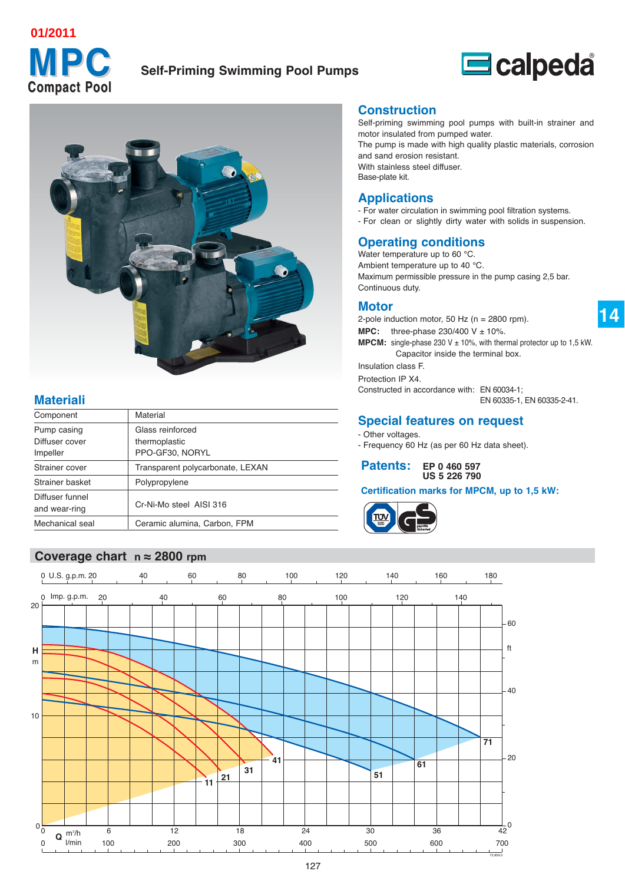# **Compact Pool Compact Pool 01/2011**

# **MPC Self-Priming Swimming Pool Pumps**



# **Materiali**

| Component                        | Material                          |
|----------------------------------|-----------------------------------|
| Pump casing<br>Diffuser cover    | Glass reinforced<br>thermoplastic |
| Impeller                         | PPO-GF30, NORYL                   |
| Strainer cover                   | Transparent polycarbonate, LEXAN  |
| Strainer basket                  | Polypropylene                     |
| Diffuser funnel<br>and wear-ring | Cr-Ni-Mo steel AISI 316           |
| Mechanical seal                  | Ceramic alumina, Carbon, FPM      |
|                                  |                                   |

# **Coverage chart n ≈ 2800 rpm**

#### **Construction**

Self-priming swimming pool pumps with built-in strainer and motor insulated from pumped water. The pump is made with high quality plastic materials, corrosion

 $\blacksquare$ calpeda

and sand erosion resistant. With stainless steel diffuser. Base-plate kit.

## **Applications**

- For water circulation in swimming pool filtration systems. - For clean or slightly dirty water with solids in suspension.

# **Operating conditions**

Water temperature up to 60 °C. Ambient temperature up to 40 °C. Maximum permissible pressure in the pump casing 2,5 bar. Continuous duty.

#### **Motor**

2-pole induction motor, 50 Hz ( $n = 2800$  rpm). **MPC:** three-phase  $230/400$  V  $\pm$  10%. **MPCM:** single-phase 230 V  $\pm$  10%, with thermal protector up to 1,5 kW. Capacitor inside the terminal box. Insulation class F. Protection IP X4. Constructed in accordance with: EN 60034-1;

EN 60335-1, EN 60335-2-41.

**14**

# **Special features on request**

- Other voltages.
- Frequency 60 Hz (as per 60 Hz data sheet).

**Patents: EP 0 460 597 US 5 226 790**

#### **Certification marks for MPCM, up to 1,5 kW:**



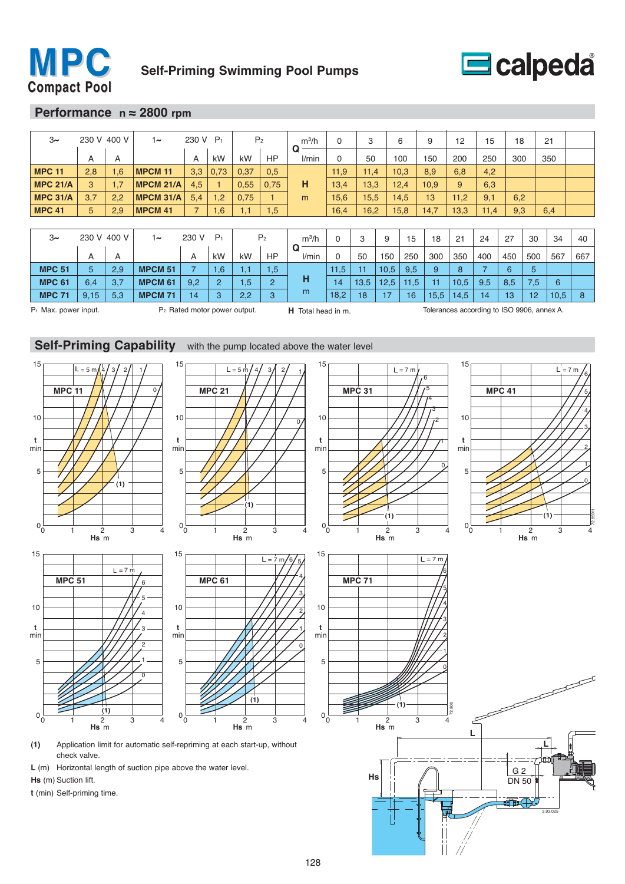



#### **Performance n ≈ 2800 rpm**

| $3\sim$         | 230 V 400 V |     | $1\sim$          | 230 V                    | P <sub>1</sub> | P <sub>2</sub> |                | $m^3/h$    | $\Omega$ | 3    |      | 6    | 9    | 12   | 15   | 18  |     | 21  |     |
|-----------------|-------------|-----|------------------|--------------------------|----------------|----------------|----------------|------------|----------|------|------|------|------|------|------|-----|-----|-----|-----|
|                 |             |     |                  |                          |                |                |                | Q<br>l/min |          |      |      |      |      |      |      |     |     |     |     |
|                 | A           | A   |                  | A                        | kW             | kW             | HP             |            | 0        | 50   |      | 100  | 150  | 200  | 250  | 300 |     | 350 |     |
| <b>MPC 11</b>   | 2,8         | 1,6 | <b>MPCM 11</b>   | 3,3                      | 0,73           | 0,37           | 0,5            |            | 11,9     | 11,4 |      | 10,3 | 8,9  | 6,8  | 4,2  |     |     |     |     |
| <b>MPC 21/A</b> | 3           | 1,7 | <b>MPCM 21/A</b> | 4,5                      |                | 0,55           | 0.75           | н          | 13,4     | 13,3 |      | 12,4 | 10,9 | 9    | 6,3  |     |     |     |     |
| <b>MPC 31/A</b> | 3,7         | 2,2 | <b>MPCM 31/A</b> | 5,4                      | 1,2            | 0,75           |                | m          | 15,6     | 15,5 |      | 14,5 | 13   | 11,2 | 9,1  | 6,2 |     |     |     |
| <b>MPC 41</b>   | 5           | 2,9 | <b>MPCM 41</b>   | $\overline{\phantom{a}}$ | 1,6            | 1,1            | 1,5            |            | 16,4     | 16,2 |      | 15,8 | 14,7 | 13,3 | 11,4 | 9,3 |     | 6,4 |     |
|                 |             |     |                  |                          |                |                |                |            |          |      |      |      |      |      |      |     |     |     |     |
| $3\sim$         | 230 V 400 V |     | $1\sim$          | 230 V                    | $P_1$          |                | P <sub>2</sub> | $m^3/h$    | $\Omega$ | 3    | 9    | 15   | 18   | 21   | 24   | 27  | 30  | 34  | 40  |
|                 | A           | A   |                  | A                        | kW             | kW             | <b>HP</b>      | Q<br>l/min | $\Omega$ | 50   | 150  | 250  | 300  | 350  | 400  | 450 | 500 | 567 | 667 |
| <b>MPC 51</b>   | 5           | 2,9 | <b>MPCM 51</b>   | ⇁                        | 1,6'           | 1,1            | .5             |            | 11,5     | 11   | 10.5 | 9,5  | 9    | 8    |      | 6   | 5   |     |     |

**MPC 71** 9,15 5,3 **MPCM 71** 14 3 2,2 3 <sup>m</sup> 18,2 18 17 16 15,5 14,5 14 13 12 10,5 8

**MPC 61** 6,4 3,7 **MPCM 61** 9,2 2 1,5 2 **H** 14 13,5 12,5 11,5 11 10,5 9,5 8,5 7,5 6

P<sub>1</sub> Max. power input. P<sub>2</sub> Rated motor power output. **H** Total head in m. Tolerances according to ISO 9906, annex A.



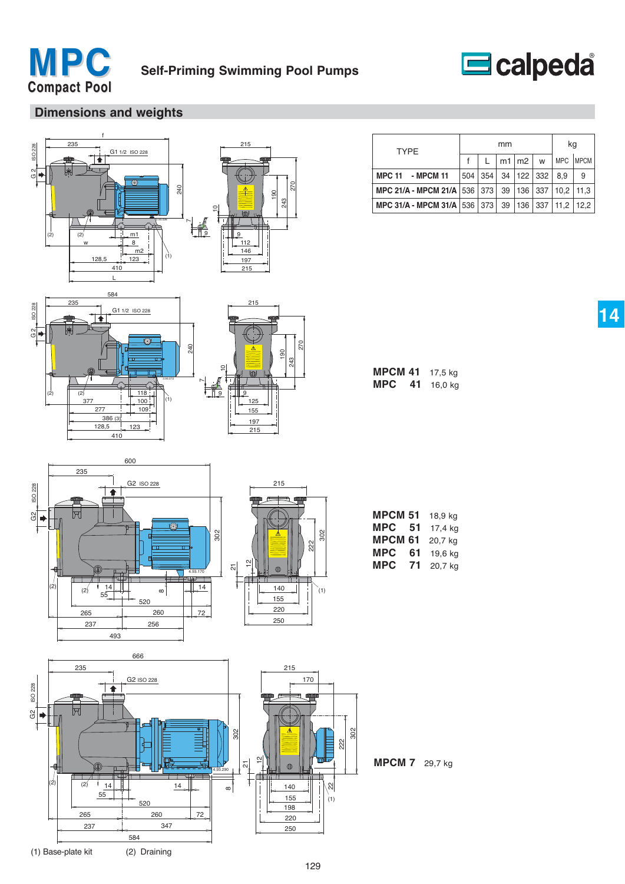



# **Dimensions and weights**